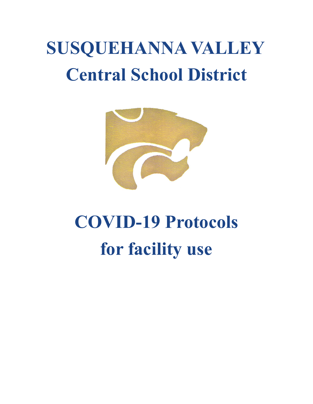## **SUSQUEHANNA VALLEY Central School District**



# **COVID-19 Protocols for facility use**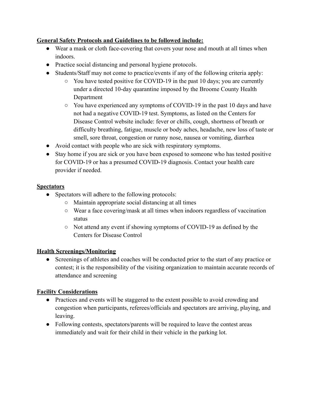### **General Safety Protocols and Guidelines to be followed include:**

- Wear a mask or cloth face-covering that covers your nose and mouth at all times when indoors.
- Practice social distancing and personal hygiene protocols.
- Students/Staff may not come to practice/events if any of the following criteria apply:
	- You have tested positive for COVID-19 in the past 10 days; you are currently under a directed 10-day quarantine imposed by the Broome County Health Department
	- You have experienced any symptoms of COVID-19 in the past 10 days and have not had a negative COVID-19 test. Symptoms, as listed on the Centers for Disease Control website include: fever or chills, cough, shortness of breath or difficulty breathing, fatigue, muscle or body aches, headache, new loss of taste or smell, sore throat, congestion or runny nose, nausea or vomiting, diarrhea
- Avoid contact with people who are sick with respiratory symptoms.
- Stay home if you are sick or you have been exposed to someone who has tested positive for COVID-19 or has a presumed COVID-19 diagnosis. Contact your health care provider if needed.

### **Spectators**

- Spectators will adhere to the following protocols:
	- Maintain appropriate social distancing at all times
	- Wear a face covering/mask at all times when indoors regardless of vaccination status
	- Not attend any event if showing symptoms of COVID-19 as defined by the Centers for Disease Control

### **Health Screenings/Monitoring**

● Screenings of athletes and coaches will be conducted prior to the start of any practice or contest; it is the responsibility of the visiting organization to maintain accurate records of attendance and screening

### **Facility Considerations**

- Practices and events will be staggered to the extent possible to avoid crowding and congestion when participants, referees/officials and spectators are arriving, playing, and leaving.
- Following contests, spectators/parents will be required to leave the contest areas immediately and wait for their child in their vehicle in the parking lot.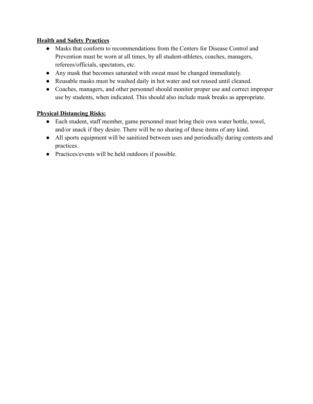### **Health and Safety Practices**

- Masks that conform to recommendations from the Centers for Disease Control and Prevention must be worn at all times, by all student-athletes, coaches, managers, referees/officials, spectators, etc.
- Any mask that becomes saturated with sweat must be changed immediately.
- Reusable masks must be washed daily in hot water and not reused until cleaned.
- Coaches, managers, and other personnel should monitor proper use and correct improper use by students, when indicated. This should also include mask breaks as appropriate.

#### **Physical Distancing Risks:**

- Each student, staff member, game personnel must bring their own water bottle, towel, and/or snack if they desire. There will be no sharing of these items of any kind.
- All sports equipment will be sanitized between uses and periodically during contests and practices.
- Practices/events will be held outdoors if possible.